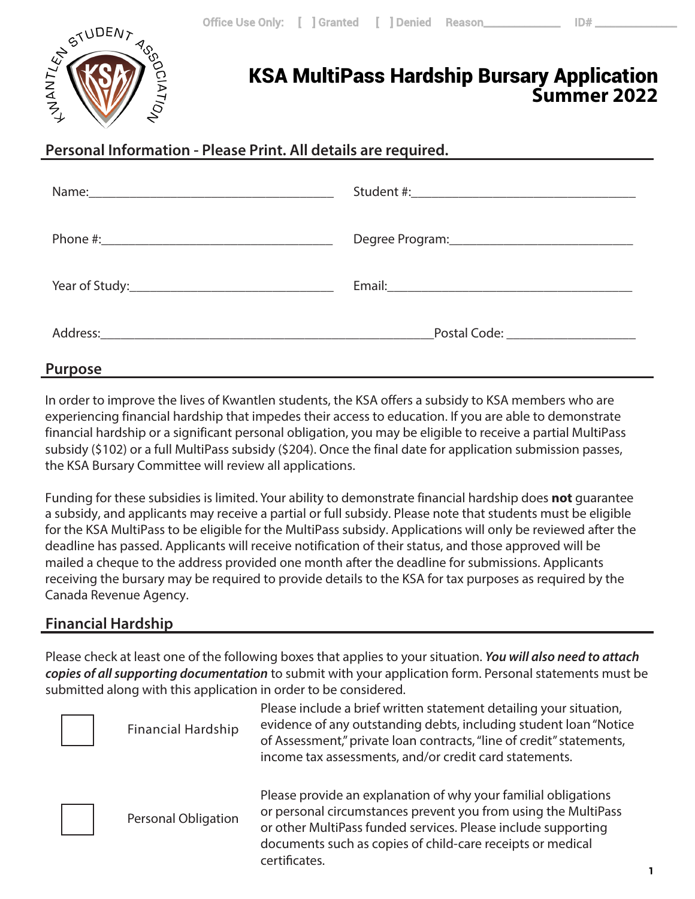

# KSA MultiPass Hardship Bursary Application **Summer 2022**

# **Personal Information - Please Print. All details are required.**

#### **Purpose**

In order to improve the lives of Kwantlen students, the KSA offers a subsidy to KSA members who are experiencing financial hardship that impedes their access to education. If you are able to demonstrate financial hardship or a significant personal obligation, you may be eligible to receive a partial MultiPass subsidy (\$102) or a full MultiPass subsidy (\$204). Once the final date for application submission passes, the KSA Bursary Committee will review all applications.

Funding for these subsidies is limited. Your ability to demonstrate financial hardship does **not** guarantee a subsidy, and applicants may receive a partial or full subsidy. Please note that students must be eligible for the KSA MultiPass to be eligible for the MultiPass subsidy. Applications will only be reviewed after the deadline has passed. Applicants will receive notification of their status, and those approved will be mailed a cheque to the address provided one month after the deadline for submissions. Applicants receiving the bursary may be required to provide details to the KSA for tax purposes as required by the Canada Revenue Agency.

## **Financial Hardship**

Please check at least one of the following boxes that applies to your situation. *You will also need to attach copies of all supporting documentation* to submit with your application form. Personal statements must be submitted along with this application in order to be considered.

| <b>Financial Hardship</b>  | Please include a brief written statement detailing your situation,<br>evidence of any outstanding debts, including student loan "Notice<br>of Assessment," private loan contracts, "line of credit" statements,<br>income tax assessments, and/or credit card statements.        |
|----------------------------|----------------------------------------------------------------------------------------------------------------------------------------------------------------------------------------------------------------------------------------------------------------------------------|
| <b>Personal Obligation</b> | Please provide an explanation of why your familial obligations<br>or personal circumstances prevent you from using the MultiPass<br>or other MultiPass funded services. Please include supporting<br>documents such as copies of child-care receipts or medical<br>certificates. |